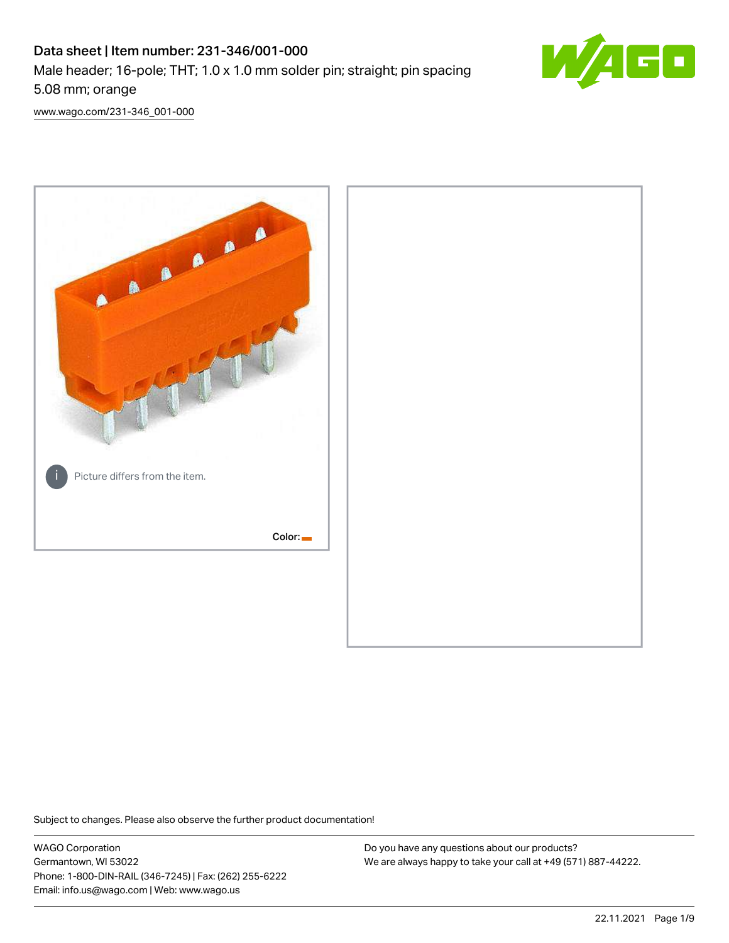# Data sheet | Item number: 231-346/001-000 Male header; 16-pole; THT; 1.0 x 1.0 mm solder pin; straight; pin spacing 5.08 mm; orange



[www.wago.com/231-346\\_001-000](http://www.wago.com/231-346_001-000)



Subject to changes. Please also observe the further product documentation!

WAGO Corporation Germantown, WI 53022 Phone: 1-800-DIN-RAIL (346-7245) | Fax: (262) 255-6222 Email: info.us@wago.com | Web: www.wago.us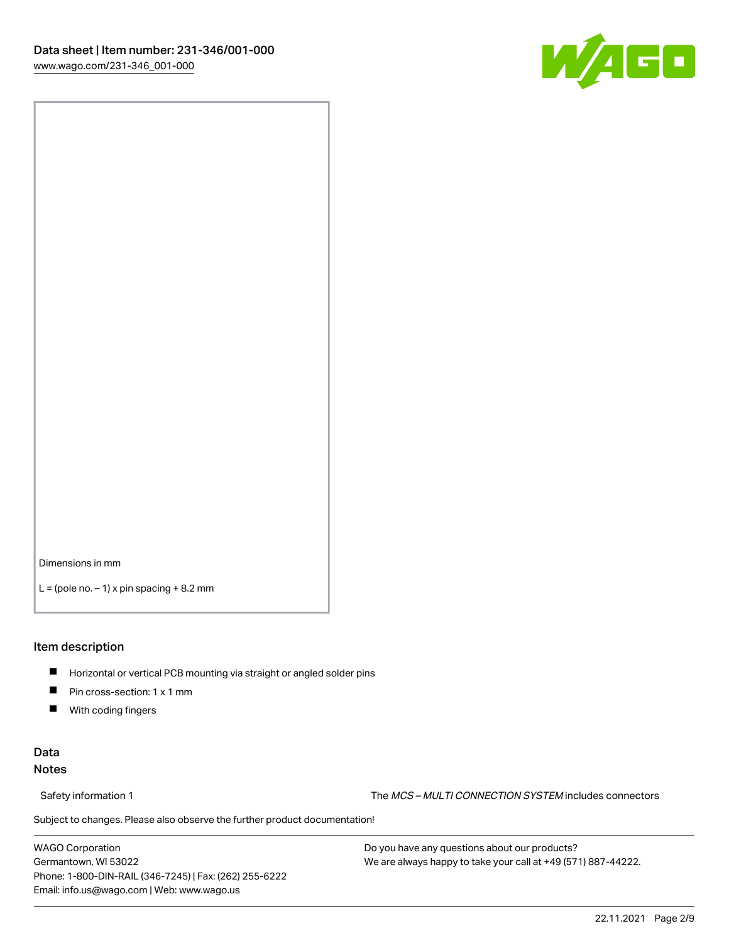

Dimensions in mm

 $L =$  (pole no.  $-1$ ) x pin spacing  $+8.2$  mm

### Item description

- **Horizontal or vertical PCB mounting via straight or angled solder pins**
- **Pin cross-section: 1 x 1 mm**
- $\blacksquare$ With coding fingers

# Data Notes

Safety information 1 The MCS – MULTI CONNECTION SYSTEM includes connectors

Subject to changes. Please also observe the further product documentation!  $\nu$ 

WAGO Corporation Germantown, WI 53022 Phone: 1-800-DIN-RAIL (346-7245) | Fax: (262) 255-6222 Email: info.us@wago.com | Web: www.wago.us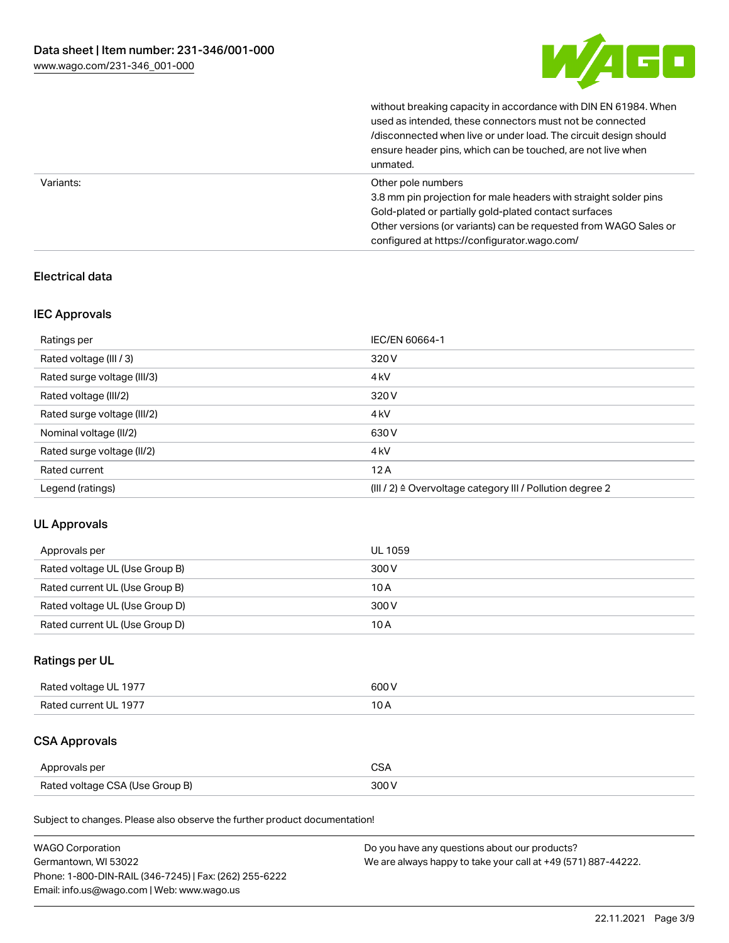

without breaking capacity in accordance with DIN EN 61984. When

|           | used as intended, these connectors must not be connected<br>/disconnected when live or under load. The circuit design should<br>ensure header pins, which can be touched, are not live when<br>unmated.                                                             |
|-----------|---------------------------------------------------------------------------------------------------------------------------------------------------------------------------------------------------------------------------------------------------------------------|
| Variants: | Other pole numbers<br>3.8 mm pin projection for male headers with straight solder pins<br>Gold-plated or partially gold-plated contact surfaces<br>Other versions (or variants) can be requested from WAGO Sales or<br>configured at https://configurator.wago.com/ |

# Electrical data

# IEC Approvals

| Ratings per                 | IEC/EN 60664-1                                            |
|-----------------------------|-----------------------------------------------------------|
| Rated voltage (III / 3)     | 320 V                                                     |
| Rated surge voltage (III/3) | 4 <sub>k</sub> V                                          |
| Rated voltage (III/2)       | 320 V                                                     |
| Rated surge voltage (III/2) | 4 <sub>k</sub> V                                          |
| Nominal voltage (II/2)      | 630 V                                                     |
| Rated surge voltage (II/2)  | 4 <sub>k</sub> V                                          |
| Rated current               | 12A                                                       |
| Legend (ratings)            | (III / 2) ≙ Overvoltage category III / Pollution degree 2 |

# UL Approvals

| Approvals per                  | UL 1059 |
|--------------------------------|---------|
| Rated voltage UL (Use Group B) | 300 V   |
| Rated current UL (Use Group B) | 10 A    |
| Rated voltage UL (Use Group D) | 300 V   |
| Rated current UL (Use Group D) | 10 A    |

# Ratings per UL

| Rated voltage UL 1977 | 600 V |
|-----------------------|-------|
| Rated current UL 1977 |       |

# CSA Approvals

| Approvals per                   | ~~    |
|---------------------------------|-------|
| Rated voltage CSA (Use Group B) | 3UU 1 |

Subject to changes. Please also observe the further product documentation!

| <b>WAGO Corporation</b>                                | Do you have any questions about our products?                 |
|--------------------------------------------------------|---------------------------------------------------------------|
| Germantown, WI 53022                                   | We are always happy to take your call at +49 (571) 887-44222. |
| Phone: 1-800-DIN-RAIL (346-7245)   Fax: (262) 255-6222 |                                                               |
| Email: info.us@wago.com   Web: www.wago.us             |                                                               |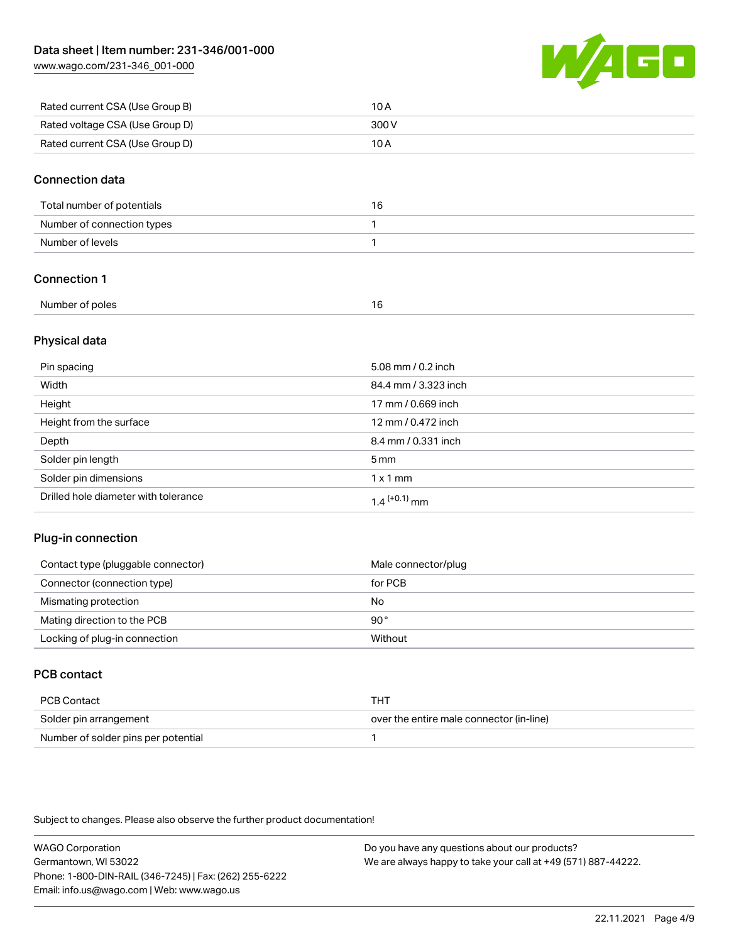[www.wago.com/231-346\\_001-000](http://www.wago.com/231-346_001-000)



| Rated current CSA (Use Group B) | 10 A  |
|---------------------------------|-------|
| Rated voltage CSA (Use Group D) | 300 V |
| Rated current CSA (Use Group D) | 10 A  |

# Connection data

| Total number of potentials | 16 |
|----------------------------|----|
| Number of connection types |    |
| Number of levels           |    |

# Connection 1

| Number of poles |  |
|-----------------|--|
|                 |  |

# Physical data

| Pin spacing                          | 5.08 mm / 0.2 inch   |
|--------------------------------------|----------------------|
| Width                                | 84.4 mm / 3.323 inch |
| Height                               | 17 mm / 0.669 inch   |
| Height from the surface              | 12 mm / 0.472 inch   |
| Depth                                | 8.4 mm / 0.331 inch  |
| Solder pin length                    | $5 \,\mathrm{mm}$    |
| Solder pin dimensions                | $1 \times 1$ mm      |
| Drilled hole diameter with tolerance | $1.4$ $(+0.1)$ mm    |

# Plug-in connection

| Contact type (pluggable connector) | Male connector/plug |
|------------------------------------|---------------------|
| Connector (connection type)        | for PCB             |
| Mismating protection               | No                  |
| Mating direction to the PCB        | 90°                 |
| Locking of plug-in connection      | Without             |

# PCB contact

| PCB Contact                         | тнт                                      |
|-------------------------------------|------------------------------------------|
| Solder pin arrangement              | over the entire male connector (in-line) |
| Number of solder pins per potential |                                          |

Subject to changes. Please also observe the further product documentation!

WAGO Corporation Germantown, WI 53022 Phone: 1-800-DIN-RAIL (346-7245) | Fax: (262) 255-6222 Email: info.us@wago.com | Web: www.wago.us Do you have any questions about our products? We are always happy to take your call at +49 (571) 887-44222.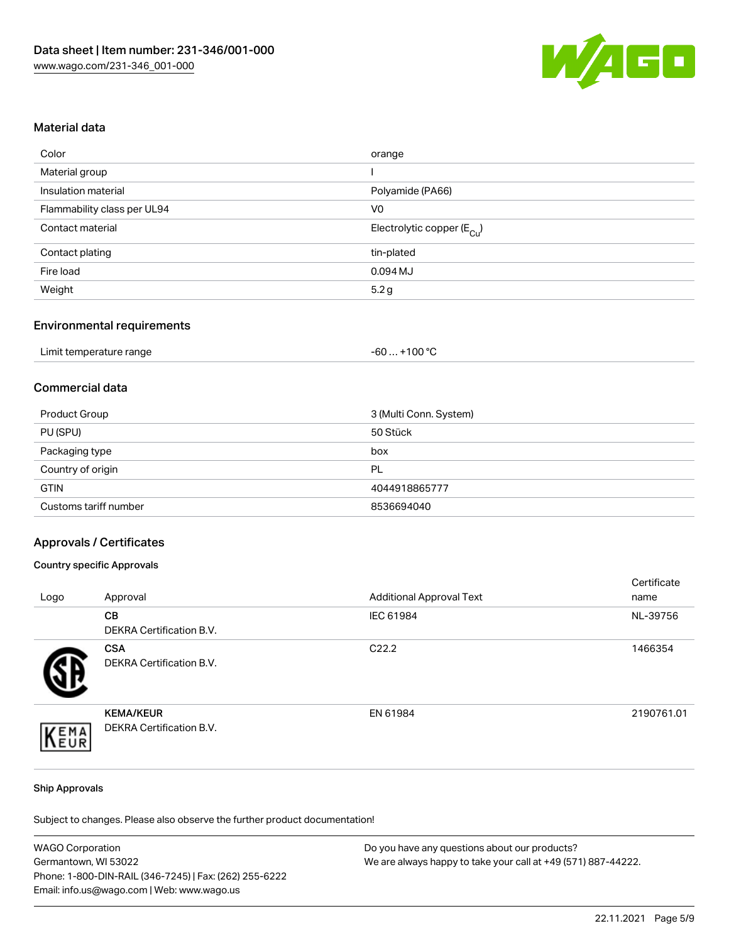

# Material data

| orange                                |
|---------------------------------------|
|                                       |
| Polyamide (PA66)                      |
| V <sub>0</sub>                        |
| Electrolytic copper $(E_{\text{Cl}})$ |
| tin-plated                            |
| $0.094$ MJ                            |
| 5.2g                                  |
|                                       |

# Environmental requirements

| Limit temperature range | $+100 °C$<br>-60 |
|-------------------------|------------------|
|-------------------------|------------------|

# Commercial data

| Product Group         | 3 (Multi Conn. System) |
|-----------------------|------------------------|
| PU (SPU)              | 50 Stück               |
| Packaging type        | box                    |
| Country of origin     | PL                     |
| <b>GTIN</b>           | 4044918865777          |
| Customs tariff number | 8536694040             |

### Approvals / Certificates

### Country specific Approvals

| Logo | Approval                                     | <b>Additional Approval Text</b> | Certificate<br>name |
|------|----------------------------------------------|---------------------------------|---------------------|
|      | <b>CB</b><br>DEKRA Certification B.V.        | IEC 61984                       | NL-39756            |
|      | <b>CSA</b><br>DEKRA Certification B.V.       | C <sub>22.2</sub>               | 1466354             |
| EMA  | <b>KEMA/KEUR</b><br>DEKRA Certification B.V. | EN 61984                        | 2190761.01          |

#### Ship Approvals

Subject to changes. Please also observe the further product documentation!

| <b>WAGO Corporation</b>                                | Do you have any questions about our products?                 |
|--------------------------------------------------------|---------------------------------------------------------------|
| Germantown, WI 53022                                   | We are always happy to take your call at +49 (571) 887-44222. |
| Phone: 1-800-DIN-RAIL (346-7245)   Fax: (262) 255-6222 |                                                               |
| Email: info.us@wago.com   Web: www.wago.us             |                                                               |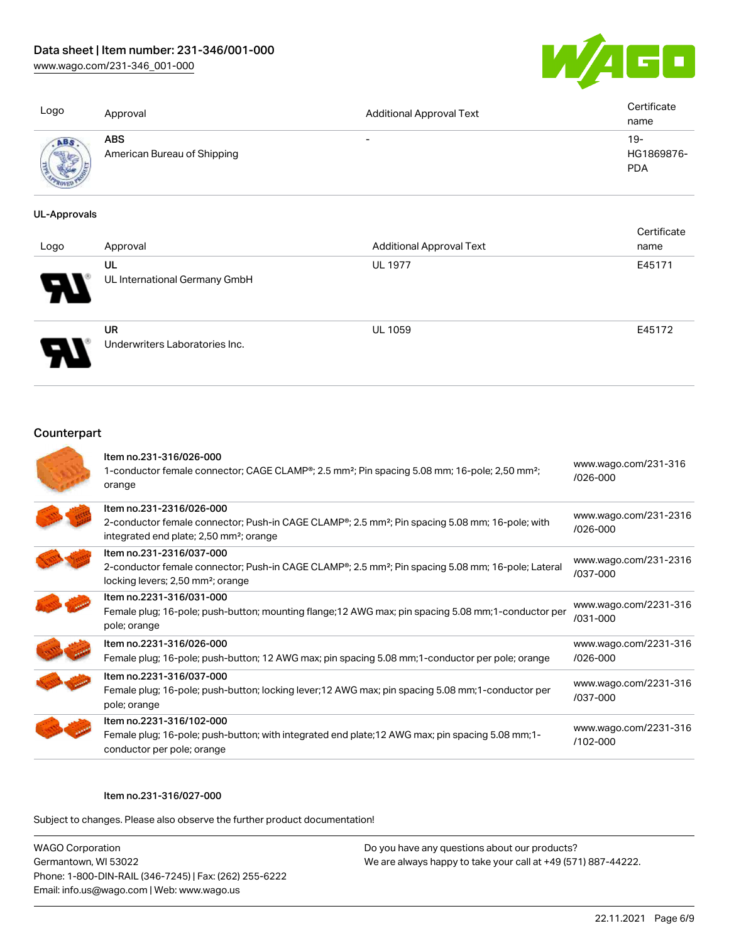[www.wago.com/231-346\\_001-000](http://www.wago.com/231-346_001-000)



| Logo                  | Approval                                  | <b>Additional Approval Text</b> | Certificate<br>name             |
|-----------------------|-------------------------------------------|---------------------------------|---------------------------------|
| ABS<br><b>COLLEGE</b> | <b>ABS</b><br>American Bureau of Shipping | $\overline{\phantom{0}}$        | 19-<br>HG1869876-<br><b>PDA</b> |

#### UL-Approvals

| Logo     | Approval                                    | <b>Additional Approval Text</b> | Certificate<br>name |
|----------|---------------------------------------------|---------------------------------|---------------------|
| Ъ.<br>77 | UL<br>UL International Germany GmbH         | <b>UL 1977</b>                  | E45171              |
|          | <b>UR</b><br>Underwriters Laboratories Inc. | <b>UL 1059</b>                  | E45172              |

# **Counterpart**

| Item no.231-316/026-000<br>1-conductor female connector; CAGE CLAMP <sup>®</sup> ; 2.5 mm <sup>2</sup> ; Pin spacing 5.08 mm; 16-pole; 2,50 mm <sup>2</sup> ;<br>orange                                     | www.wago.com/231-316<br>$/026 - 000$  |
|-------------------------------------------------------------------------------------------------------------------------------------------------------------------------------------------------------------|---------------------------------------|
| Item no.231-2316/026-000<br>2-conductor female connector; Push-in CAGE CLAMP <sup>®</sup> ; 2.5 mm <sup>2</sup> ; Pin spacing 5.08 mm; 16-pole; with<br>integrated end plate; 2,50 mm <sup>2</sup> ; orange | www.wago.com/231-2316<br>$/026 - 000$ |
| Item no.231-2316/037-000<br>2-conductor female connector; Push-in CAGE CLAMP <sup>®</sup> ; 2.5 mm <sup>2</sup> ; Pin spacing 5.08 mm; 16-pole; Lateral<br>locking levers; 2,50 mm <sup>2</sup> ; orange    | www.wago.com/231-2316<br>/037-000     |
| Item no.2231-316/031-000<br>Female plug; 16-pole; push-button; mounting flange; 12 AWG max; pin spacing 5.08 mm; 1-conductor per<br>pole; orange                                                            | www.wago.com/2231-316<br>/031-000     |
| Item no.2231-316/026-000<br>Female plug; 16-pole; push-button; 12 AWG max; pin spacing 5.08 mm; 1-conductor per pole; orange                                                                                | www.wago.com/2231-316<br>$/026 - 000$ |
| Item no.2231-316/037-000<br>Female plug; 16-pole; push-button; locking lever; 12 AWG max; pin spacing 5.08 mm; 1-conductor per<br>pole; orange                                                              | www.wago.com/2231-316<br>/037-000     |
| Item no.2231-316/102-000<br>Female plug; 16-pole; push-button; with integrated end plate; 12 AWG max; pin spacing 5.08 mm; 1-<br>conductor per pole; orange                                                 | www.wago.com/2231-316<br>$/102 - 000$ |

#### Item no.231-316/027-000

Subject to changes. Please also observe the further product documentation!

WAGO Corporation Germantown, WI 53022 Phone: 1-800-DIN-RAIL (346-7245) | Fax: (262) 255-6222 Email: info.us@wago.com | Web: www.wago.us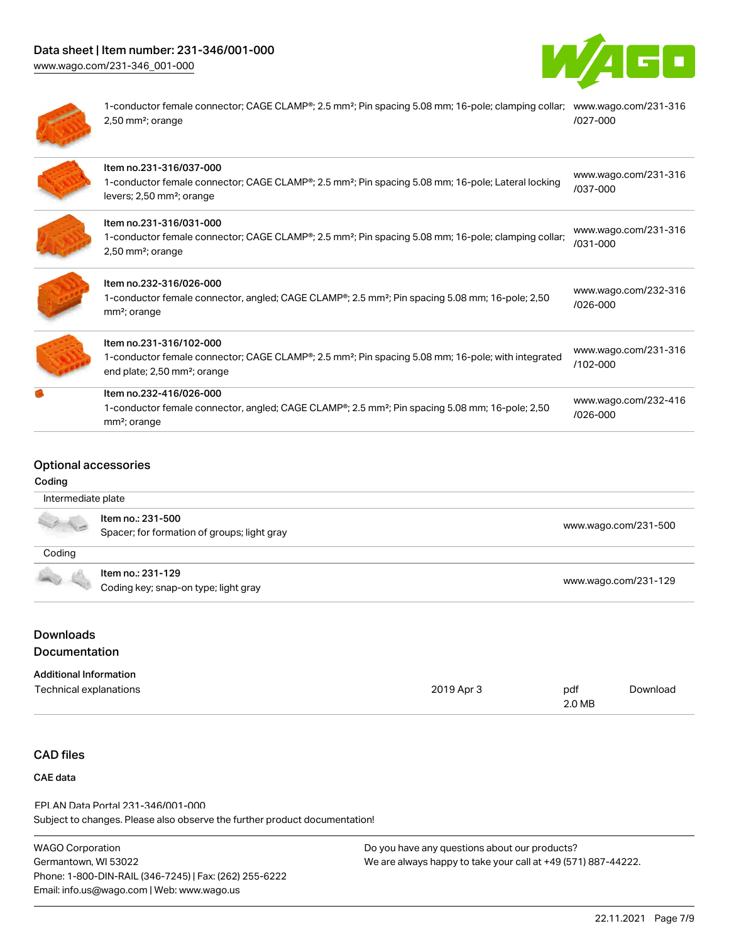# Data sheet | Item number: 231-346/001-000

[www.wago.com/231-346\\_001-000](http://www.wago.com/231-346_001-000)





1-conductor female connector; CAGE CLAMP®; 2.5 mm²; Pin spacing 5.08 mm; 16-pole; clamping collar; [www.wago.com/231-316](https://www.wago.com/231-316/027-000) 2,50 mm²; orange [/027-000](https://www.wago.com/231-316/027-000)

| Item no.231-316/037-000<br>1-conductor female connector; CAGE CLAMP <sup>®</sup> ; 2.5 mm <sup>2</sup> ; Pin spacing 5.08 mm; 16-pole; Lateral locking<br>levers; 2,50 mm <sup>2</sup> ; orange    | www.wago.com/231-316<br>$/037 - 000$ |
|----------------------------------------------------------------------------------------------------------------------------------------------------------------------------------------------------|--------------------------------------|
| Item no.231-316/031-000<br>1-conductor female connector; CAGE CLAMP®; 2.5 mm <sup>2</sup> ; Pin spacing 5.08 mm; 16-pole; clamping collar;<br>$2,50$ mm <sup>2</sup> ; orange                      | www.wago.com/231-316<br>/031-000     |
| Item no.232-316/026-000<br>1-conductor female connector, angled; CAGE CLAMP <sup>®</sup> ; 2.5 mm <sup>2</sup> ; Pin spacing 5.08 mm; 16-pole; 2,50<br>mm <sup>2</sup> ; orange                    | www.wago.com/232-316<br>$/026 - 000$ |
| Item no.231-316/102-000<br>1-conductor female connector; CAGE CLAMP <sup>®</sup> ; 2.5 mm <sup>2</sup> ; Pin spacing 5.08 mm; 16-pole; with integrated<br>end plate; 2,50 mm <sup>2</sup> ; orange | www.wago.com/231-316<br>$/102 - 000$ |
| Item no.232-416/026-000<br>1-conductor female connector, angled; CAGE CLAMP <sup>®</sup> ; 2.5 mm <sup>2</sup> ; Pin spacing 5.08 mm; 16-pole; 2,50<br>mm <sup>2</sup> ; orange                    | www.wago.com/232-416<br>/026-000     |

# Optional accessories

#### Coding

| Intermediate plate |                                                                  |                      |
|--------------------|------------------------------------------------------------------|----------------------|
|                    | Item no.: 231-500<br>Spacer; for formation of groups; light gray | www.wago.com/231-500 |
| Coding             |                                                                  |                      |
| 100                | Item no.: 231-129                                                |                      |
|                    | Coding key; snap-on type; light gray                             | www.wago.com/231-129 |

# Documentation

| <b>Additional Information</b> |            |        |          |
|-------------------------------|------------|--------|----------|
| Technical explanations        | 2019 Apr 3 | pdf    | Download |
|                               |            | 2.0 MB |          |

# CAD files

# CAE data

Subject to changes. Please also observe the further product documentation! EPLAN Data Portal 231-346/001-000

| <b>WAGO Corporation</b>                                | Do you have any question |
|--------------------------------------------------------|--------------------------|
| Germantown, WI 53022                                   | We are always happy to   |
| Phone: 1-800-DIN-RAIL (346-7245)   Fax: (262) 255-6222 |                          |
| Email: info.us@wago.com   Web: www.wago.us             |                          |

ons about our products? take your call at +49 (571) 887-44222.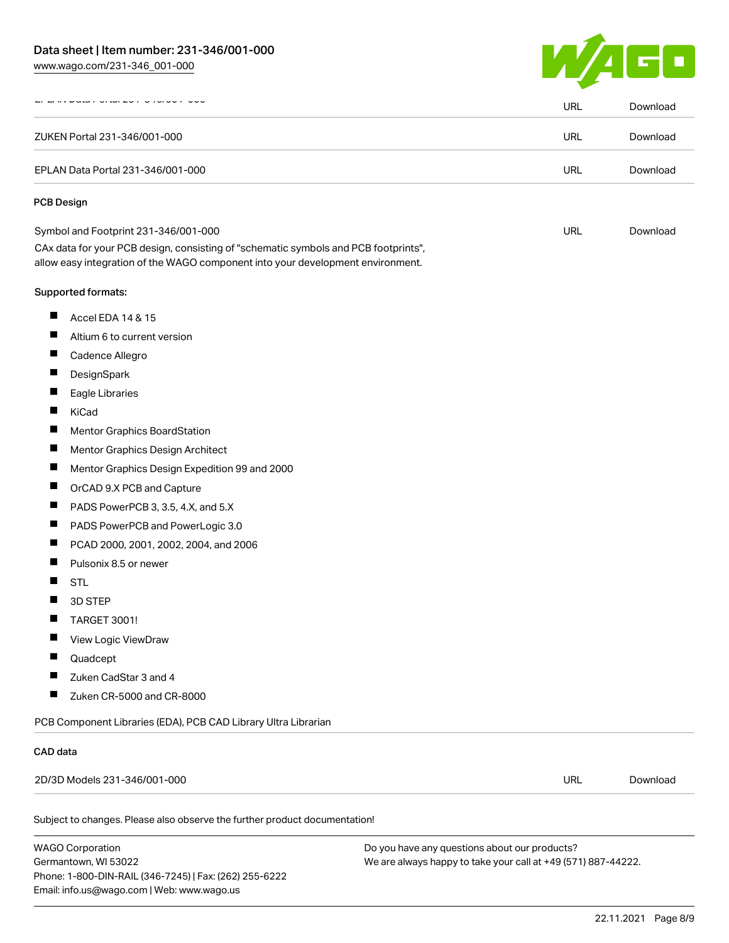[www.wago.com/231-346\\_001-000](http://www.wago.com/231-346_001-000)



| <b>DURAT OF CHEVIT OTORON</b>                                     |                                                                                                                                                                        | <b>URL</b> | Download             |
|-------------------------------------------------------------------|------------------------------------------------------------------------------------------------------------------------------------------------------------------------|------------|----------------------|
| ZUKEN Portal 231-346/001-000<br>EPLAN Data Portal 231-346/001-000 |                                                                                                                                                                        | URL        | Download<br>Download |
|                                                                   |                                                                                                                                                                        | <b>URL</b> |                      |
| <b>PCB Design</b>                                                 |                                                                                                                                                                        |            |                      |
| Symbol and Footprint 231-346/001-000                              |                                                                                                                                                                        | URL        | Download             |
|                                                                   | CAx data for your PCB design, consisting of "schematic symbols and PCB footprints",<br>allow easy integration of the WAGO component into your development environment. |            |                      |
| Supported formats:                                                |                                                                                                                                                                        |            |                      |
| ш<br>Accel EDA 14 & 15                                            |                                                                                                                                                                        |            |                      |
| ш<br>Altium 6 to current version                                  |                                                                                                                                                                        |            |                      |
| ш<br>Cadence Allegro                                              |                                                                                                                                                                        |            |                      |
| ш<br>DesignSpark                                                  |                                                                                                                                                                        |            |                      |
| ш<br>Eagle Libraries                                              |                                                                                                                                                                        |            |                      |
| ш<br>KiCad                                                        |                                                                                                                                                                        |            |                      |
| ш                                                                 | Mentor Graphics BoardStation                                                                                                                                           |            |                      |
| ш                                                                 | Mentor Graphics Design Architect                                                                                                                                       |            |                      |
| ш                                                                 | Mentor Graphics Design Expedition 99 and 2000                                                                                                                          |            |                      |
| ш<br>OrCAD 9.X PCB and Capture                                    |                                                                                                                                                                        |            |                      |
| ш                                                                 | PADS PowerPCB 3, 3.5, 4.X, and 5.X                                                                                                                                     |            |                      |
| ш                                                                 | PADS PowerPCB and PowerLogic 3.0                                                                                                                                       |            |                      |
| ш                                                                 | PCAD 2000, 2001, 2002, 2004, and 2006                                                                                                                                  |            |                      |
| Pulsonix 8.5 or newer                                             |                                                                                                                                                                        |            |                      |
| H.<br><b>STL</b>                                                  |                                                                                                                                                                        |            |                      |
| ш<br>3D STEP                                                      |                                                                                                                                                                        |            |                      |
| TARGET 3001!                                                      |                                                                                                                                                                        |            |                      |
| View Logic ViewDraw                                               |                                                                                                                                                                        |            |                      |
| Quadcept                                                          |                                                                                                                                                                        |            |                      |
| Zuken CadStar 3 and 4                                             |                                                                                                                                                                        |            |                      |
| ш                                                                 | Zuken CR-5000 and CR-8000                                                                                                                                              |            |                      |
|                                                                   | PCB Component Libraries (EDA), PCB CAD Library Ultra Librarian                                                                                                         |            |                      |
| CAD data                                                          |                                                                                                                                                                        |            |                      |
| 2D/3D Models 231-346/001-000                                      |                                                                                                                                                                        | <b>URL</b> | Download             |

WAGO Corporation Germantown, WI 53022 Phone: 1-800-DIN-RAIL (346-7245) | Fax: (262) 255-6222 Email: info.us@wago.com | Web: www.wago.us